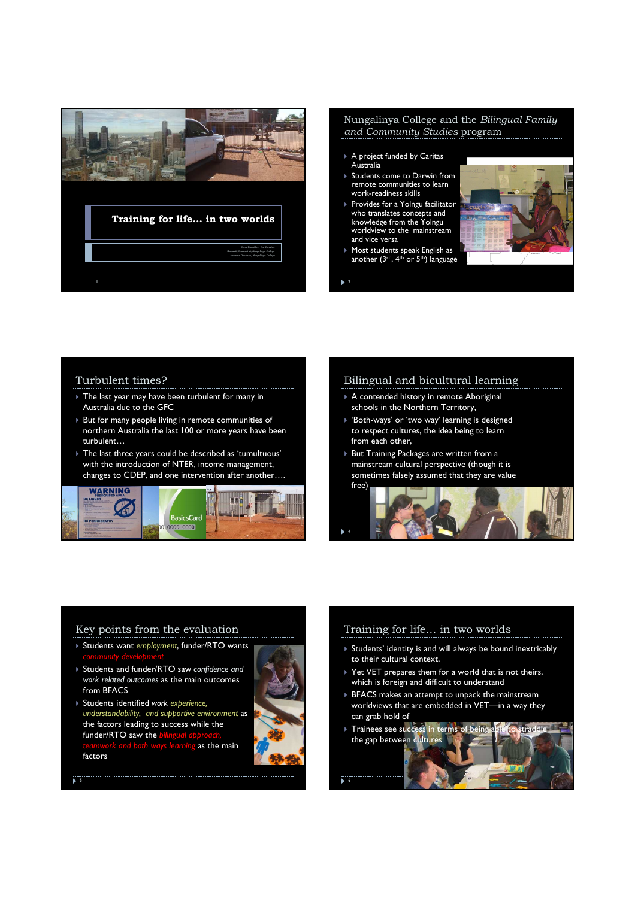

#### Nungalinya College and the Bilingual Family and Community Studies program

- A project funded by Caritas Australia
- ▶ Students come to Darwin from remote communities to learn work-readiness skills
- ▶ Provides for a Yolngu facilitator who translates concepts and knowledge from the Yolngu worldview to the mainstream and vice versa
- Most students speak English as another (3<sup>rd</sup>, 4<sup>th</sup> or 5<sup>th</sup>) language

 $\frac{1}{2}$ 



### Turbulent times?

- The last year may have been turbulent for many in Australia due to the GFC
- But for many people living in remote communities of northern Australia the last 100 or more years have been turbulent…
- The last three years could be described as 'tumultuous' with the introduction of NTER, income management, changes to CDEP, and one intervention after another….



## Bilingual and bicultural learning

- A contended history in remote Aboriginal schools in the Northern Territory,
- $\triangleright$  'Both-ways' or 'two way' learning is designed to respect cultures, the idea being to learn from each other,
- ▶ But Training Packages are written from a mainstream cultural perspective (though it is sometimes falsely assumed that they are value free)



## Key points from the evaluation

- ▶ Students want employment, funder/RTO wants
- Students and funder/RTO saw confidence and work related outcomes as the main outcomes from BFACS
- Students identified work experience, understandability, and supportive environment as the factors leading to success while the funder/RTO saw the as the main factors



## Training for life… in two worlds

- Students' identity is and will always be bound inextricably to their cultural context,
- ▶ Yet VET prepares them for a world that is not theirs, which is foreign and difficult to understand
- BFACS makes an attempt to unpack the mainstream worldviews that are embedded in VET—in a way they can grab hold of
- Trainees see success in terms of being able to straddle the gap between cultures 6